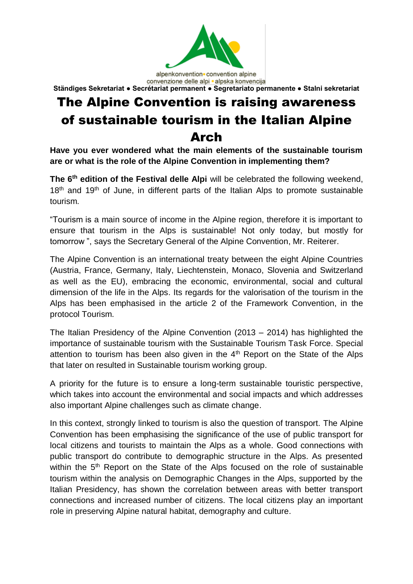

convenzione delle alpi · alpska konvencija **Ständiges Sekretariat ● Secrétariat permanent ● Segretariato permanente ● Stalni sekretariat**

## The Alpine Convention is raising awareness of sustainable tourism in the Italian Alpine Arch

**Have you ever wondered what the main elements of the sustainable tourism are or what is the role of the Alpine Convention in implementing them?**

**The 6 th edition of the Festival delle Alpi** will be celebrated the following weekend, 18<sup>th</sup> and 19<sup>th</sup> of June, in different parts of the Italian Alps to promote sustainable tourism.

"Tourism is a main source of income in the Alpine region, therefore it is important to ensure that tourism in the Alps is sustainable! Not only today, but mostly for tomorrow ", says the Secretary General of the Alpine Convention, Mr. Reiterer.

The Alpine Convention is an international treaty between the eight Alpine Countries (Austria, France, Germany, Italy, Liechtenstein, Monaco, Slovenia and Switzerland as well as the EU), embracing the economic, environmental, social and cultural dimension of the life in the Alps. Its regards for the valorisation of the tourism in the Alps has been emphasised in the article 2 of the Framework Convention, in the protocol Tourism.

The Italian Presidency of the Alpine Convention (2013 – 2014) has highlighted the importance of sustainable tourism with the Sustainable Tourism Task Force. Special attention to tourism has been also given in the  $4<sup>th</sup>$  Report on the State of the Alps that later on resulted in Sustainable tourism working group.

A priority for the future is to ensure a long-term sustainable touristic perspective, which takes into account the environmental and social impacts and which addresses also important Alpine challenges such as climate change.

In this context, strongly linked to tourism is also the question of transport. The Alpine Convention has been emphasising the significance of the use of public transport for local citizens and tourists to maintain the Alps as a whole. Good connections with public transport do contribute to demographic structure in the Alps. As presented within the 5<sup>th</sup> Report on the State of the Alps focused on the role of sustainable tourism within the analysis on Demographic Changes in the Alps, supported by the Italian Presidency, has shown the correlation between areas with better transport connections and increased number of citizens. The local citizens play an important role in preserving Alpine natural habitat, demography and culture.